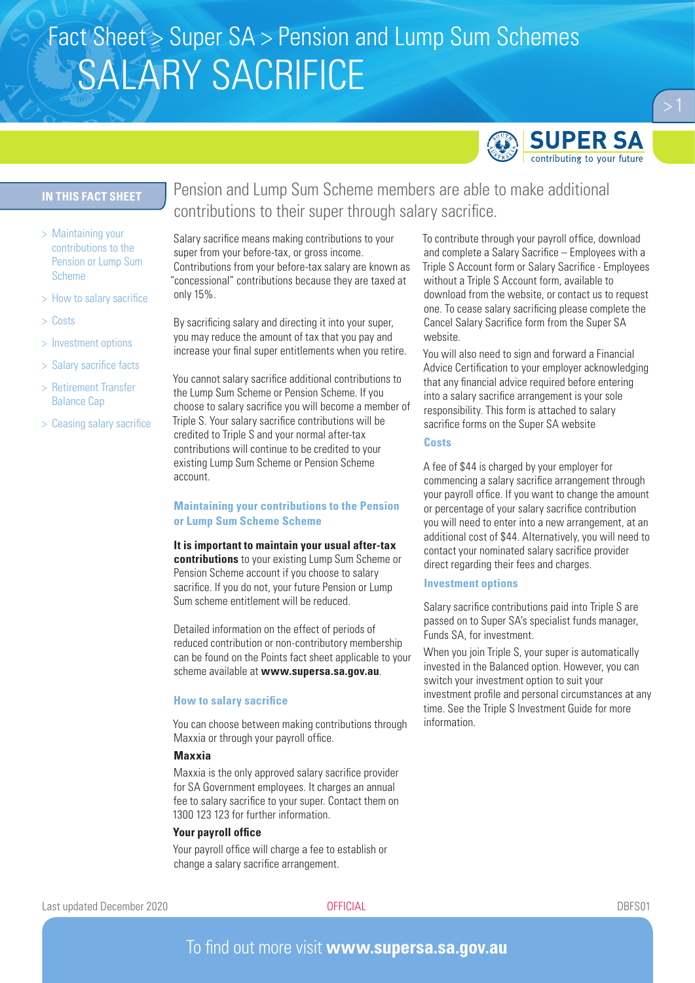# Fact Sheet > Super SA > Pension and Lump Sum Schemes SALARY SACRIFICE



## **IN THIS FACT SHEET**

- > Maintaining your contributions to the Pension or Lump Sum Scheme
- > How to salary sacrifice
- > Costs
- > Investment options
- > Salary sacrifice facts
- > Retirement Transfer Balance Cap
- > Ceasing salary sacrifice

Pension and Lump Sum Scheme members are able to make additional contributions to their super through salary sacrifice.

Salary sacrifice means making contributions to your super from your before-tax, or gross income. Contributions from your before-tax salary are known as "concessional" contributions because they are taxed at only 15%.

By sacrificing salary and directing it into your super, you may reduce the amount of tax that you pay and increase your final super entitlements when you retire.

You cannot salary sacrifice additional contributions to the Lump Sum Scheme or Pension Scheme. If you choose to salary sacrifice you will become a member of Triple S. Your salary sacrifice contributions will be credited to Triple S and your normal after-tax contributions will continue to be credited to your existing Lump Sum Scheme or Pension Scheme account.

## **Maintaining your contributions to the Pension or Lump Sum Scheme Scheme**

**It is important to maintain your usual after-tax contributions** to your existing Lump Sum Scheme or Pension Scheme account if you choose to salary sacrifice. If you do not, your future Pension or Lump Sum scheme entitlement will be reduced.

Detailed information on the effect of periods of reduced contribution or non-contributory membership can be found on the Points fact sheet applicable to your scheme available at **www.supersa.sa.gov.au**.

#### **How to salary sacrifice**

You can choose between making contributions through Maxxia or through your payroll office.

#### **Maxxia**

Maxxia is the only approved salary sacrifice provider for SA Government employees. It charges an annual fee to salary sacrifice to your super. Contact them on 1300 123 123 for further information.

#### **Your payroll office**

Your payroll office will charge a fee to establish or change a salary sacrifice arrangement.

To contribute through your payroll office, download and complete a Salary Sacrifice – Employees with a Triple S Account form or Salary Sacrifice - Employees without a Triple S Account form, available to download from the website, or contact us to request one. To cease salary sacrificing please complete the Cancel Salary Sacrifice form from the Super SA website.

You will also need to sign and forward a Financial Advice Certification to your employer acknowledging that any financial advice required before entering into a salary sacrifice arrangement is your sole responsibility. This form is attached to salary sacrifice forms on the Super SA website

## **Costs**

A fee of \$44 is charged by your employer for commencing a salary sacrifice arrangement through your payroll office. If you want to change the amount or percentage of your salary sacrifice contribution you will need to enter into a new arrangement, at an additional cost of \$44. Alternatively, you will need to contact your nominated salary sacrifice provider direct regarding their fees and charges.

#### **Investment options**

Salary sacrifice contributions paid into Triple S are passed on to Super SA's specialist funds manager, Funds SA, for investment.

When you join Triple S, your super is automatically invested in the Balanced option. However, you can switch your investment option to suit your investment profile and personal circumstances at any time. See the Triple S Investment Guide for more information.

Last updated December 2020 **OFFICIAL** DBFS01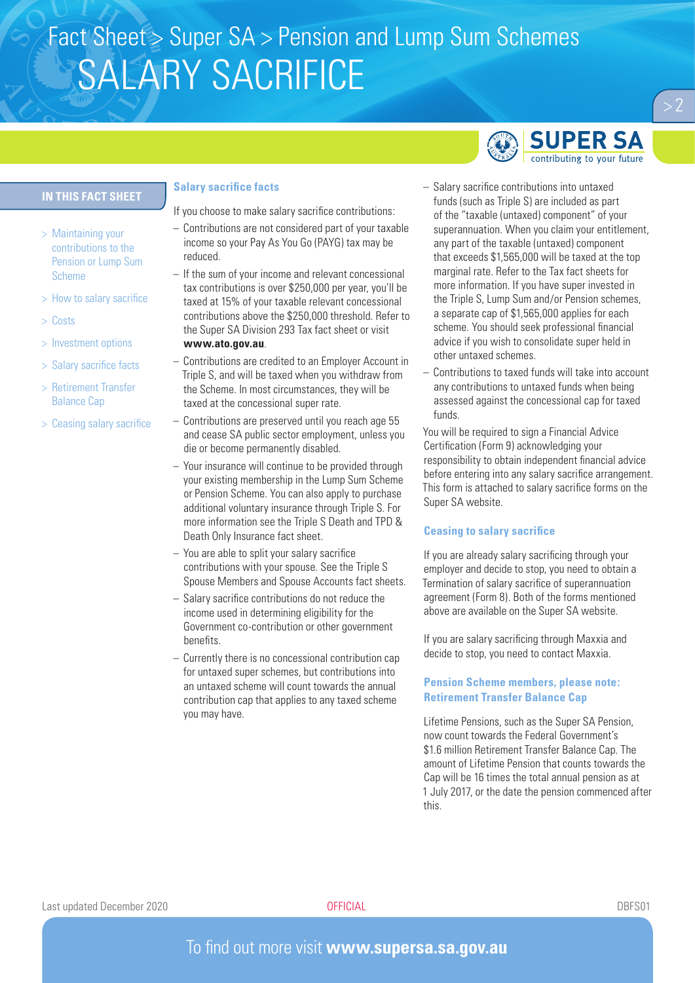# Fact Sheet > Super SA > Pension and Lump Sum Schemes SALARY SACRIFICE

## **IN THIS FACT SHEET**

- > Maintaining your contributions to the Pension or Lump Sum Scheme
- > How to salary sacrifice
- > Costs
- > Investment options
- > Salary sacrifice facts
- > Retirement Transfer Balance Cap
- > Ceasing salary sacrifice

### **Salary sacrifice facts**

If you choose to make salary sacrifice contributions:

- Contributions are not considered part of your taxable income so your Pay As You Go (PAYG) tax may be reduced.
- If the sum of your income and relevant concessional tax contributions is over \$250,000 per year, you'll be taxed at 15% of your taxable relevant concessional contributions above the \$250,000 threshold. Refer to the Super SA Division 293 Tax fact sheet or visit **www.ato.gov.au**.
- Contributions are credited to an Employer Account in Triple S, and will be taxed when you withdraw from the Scheme. In most circumstances, they will be taxed at the concessional super rate.
- Contributions are preserved until you reach age 55 and cease SA public sector employment, unless you die or become permanently disabled.
- Your insurance will continue to be provided through your existing membership in the Lump Sum Scheme or Pension Scheme. You can also apply to purchase additional voluntary insurance through Triple S. For more information see the Triple S Death and TPD & Death Only Insurance fact sheet.
- You are able to split your salary sacrifice contributions with your spouse. See the Triple S Spouse Members and Spouse Accounts fact sheets.
- Salary sacrifice contributions do not reduce the income used in determining eligibility for the Government co-contribution or other government benefits.
- Currently there is no concessional contribution cap for untaxed super schemes, but contributions into an untaxed scheme will count towards the annual contribution cap that applies to any taxed scheme you may have.



- Salary sacrifice contributions into untaxed funds (such as Triple S) are included as part of the "taxable (untaxed) component" of your superannuation. When you claim your entitlement, any part of the taxable (untaxed) component that exceeds \$1,565,000 will be taxed at the top marginal rate. Refer to the Tax fact sheets for more information. If you have super invested in the Triple S, Lump Sum and/or Pension schemes, a separate cap of \$1,565,000 applies for each scheme. You should seek professional financial advice if you wish to consolidate super held in other untaxed schemes.
- Contributions to taxed funds will take into account any contributions to untaxed funds when being assessed against the concessional cap for taxed funds.

You will be required to sign a Financial Advice Certification (Form 9) acknowledging your responsibility to obtain independent financial advice before entering into any salary sacrifice arrangement. This form is attached to salary sacrifice forms on the Super SA website.

### **Ceasing to salary sacrifice**

If you are already salary sacrificing through your employer and decide to stop, you need to obtain a Termination of salary sacrifice of superannuation agreement (Form 8). Both of the forms mentioned above are available on the Super SA website.

If you are salary sacrificing through Maxxia and decide to stop, you need to contact Maxxia.

## **Pension Scheme members, please note: Retirement Transfer Balance Cap**

Lifetime Pensions, such as the Super SA Pension, now count towards the Federal Government's \$1.6 million Retirement Transfer Balance Cap. The amount of Lifetime Pension that counts towards the Cap will be 16 times the total annual pension as at 1 July 2017, or the date the pension commenced after this.

## To find out more visit **www.supersa.sa.gov.au**